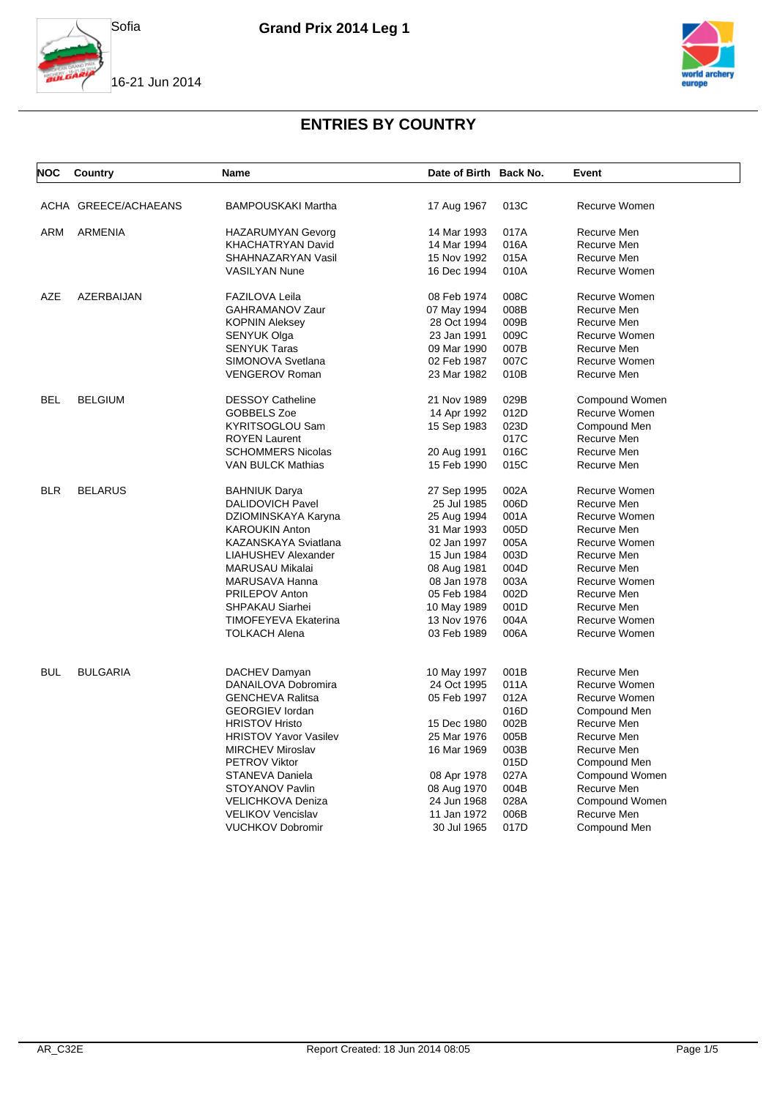





| <b>NOC</b> | Country              | Name                         | Date of Birth Back No. |      | Event          |
|------------|----------------------|------------------------------|------------------------|------|----------------|
|            | ACHA GREECE/ACHAEANS | <b>BAMPOUSKAKI Martha</b>    | 17 Aug 1967            | 013C | Recurve Women  |
| ARM        | <b>ARMENIA</b>       | <b>HAZARUMYAN Gevorg</b>     | 14 Mar 1993            | 017A | Recurve Men    |
|            |                      | <b>KHACHATRYAN David</b>     | 14 Mar 1994            | 016A | Recurve Men    |
|            |                      | SHAHNAZARYAN Vasil           | 15 Nov 1992            | 015A | Recurve Men    |
|            |                      | <b>VASILYAN Nune</b>         | 16 Dec 1994            | 010A | Recurve Women  |
| <b>AZE</b> | AZERBAIJAN           | <b>FAZILOVA Leila</b>        | 08 Feb 1974            | 008C | Recurve Women  |
|            |                      | <b>GAHRAMANOV Zaur</b>       | 07 May 1994            | 008B | Recurve Men    |
|            |                      | <b>KOPNIN Aleksey</b>        | 28 Oct 1994            | 009B | Recurve Men    |
|            |                      | SENYUK Olga                  | 23 Jan 1991            | 009C | Recurve Women  |
|            |                      | <b>SENYUK Taras</b>          | 09 Mar 1990            | 007B | Recurve Men    |
|            |                      | SIMONOVA Svetlana            | 02 Feb 1987            | 007C | Recurve Women  |
|            |                      | <b>VENGEROV Roman</b>        | 23 Mar 1982            | 010B | Recurve Men    |
| <b>BEL</b> | <b>BELGIUM</b>       | <b>DESSOY Catheline</b>      | 21 Nov 1989            | 029B | Compound Women |
|            |                      | GOBBELS Zoe                  | 14 Apr 1992            | 012D | Recurve Women  |
|            |                      | <b>KYRITSOGLOU Sam</b>       | 15 Sep 1983            | 023D | Compound Men   |
|            |                      | <b>ROYEN Laurent</b>         |                        | 017C | Recurve Men    |
|            |                      | <b>SCHOMMERS Nicolas</b>     | 20 Aug 1991            | 016C | Recurve Men    |
|            |                      | <b>VAN BULCK Mathias</b>     | 15 Feb 1990            | 015C | Recurve Men    |
| <b>BLR</b> | <b>BELARUS</b>       | <b>BAHNIUK Darya</b>         | 27 Sep 1995            | 002A | Recurve Women  |
|            |                      | <b>DALIDOVICH Pavel</b>      | 25 Jul 1985            | 006D | Recurve Men    |
|            |                      | DZIOMINSKAYA Karyna          | 25 Aug 1994            | 001A | Recurve Women  |
|            |                      | <b>KAROUKIN Anton</b>        | 31 Mar 1993            | 005D | Recurve Men    |
|            |                      | KAZANSKAYA Sviatlana         | 02 Jan 1997            | 005A | Recurve Women  |
|            |                      | LIAHUSHEV Alexander          | 15 Jun 1984            | 003D | Recurve Men    |
|            |                      | <b>MARUSAU Mikalai</b>       | 08 Aug 1981            | 004D | Recurve Men    |
|            |                      | MARUSAVA Hanna               | 08 Jan 1978            | 003A | Recurve Women  |
|            |                      | <b>PRILEPOV Anton</b>        | 05 Feb 1984            | 002D | Recurve Men    |
|            |                      | SHPAKAU Siarhei              | 10 May 1989            | 001D | Recurve Men    |
|            |                      | <b>TIMOFEYEVA Ekaterina</b>  | 13 Nov 1976            | 004A | Recurve Women  |
|            |                      | <b>TOLKACH Alena</b>         | 03 Feb 1989            | 006A | Recurve Women  |
| <b>BUL</b> | <b>BULGARIA</b>      | DACHEV Damyan                | 10 May 1997            | 001B | Recurve Men    |
|            |                      | DANAILOVA Dobromira          | 24 Oct 1995            | 011A | Recurve Women  |
|            |                      | <b>GENCHEVA Ralitsa</b>      | 05 Feb 1997            | 012A | Recurve Women  |
|            |                      | <b>GEORGIEV</b> lordan       |                        | 016D | Compound Men   |
|            |                      | <b>HRISTOV Hristo</b>        | 15 Dec 1980            | 002B | Recurve Men    |
|            |                      | <b>HRISTOV Yavor Vasilev</b> | 25 Mar 1976            | 005B | Recurve Men    |
|            |                      | <b>MIRCHEV Miroslav</b>      | 16 Mar 1969            | 003B | Recurve Men    |
|            |                      | <b>PETROV Viktor</b>         |                        | 015D | Compound Men   |
|            |                      | STANEVA Daniela              | 08 Apr 1978            | 027A | Compound Women |
|            |                      | STOYANOV Pavlin              | 08 Aug 1970            | 004B | Recurve Men    |
|            |                      | <b>VELICHKOVA Deniza</b>     | 24 Jun 1968            | 028A | Compound Women |
|            |                      | <b>VELIKOV Vencislav</b>     | 11 Jan 1972            | 006B | Recurve Men    |
|            |                      | <b>VUCHKOV Dobromir</b>      | 30 Jul 1965            | 017D | Compound Men   |
|            |                      |                              |                        |      |                |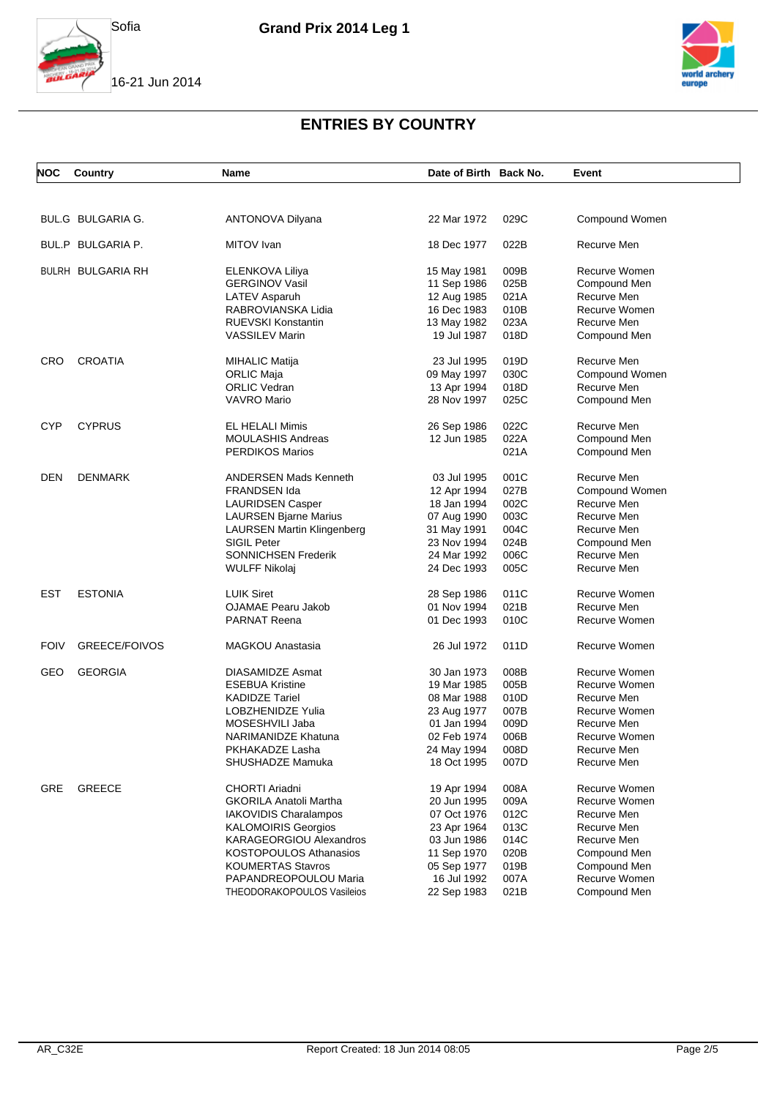



16-21 Jun 2014



| <b>NOC</b>  | Country              | Name                              | Date of Birth Back No. |      | Event          |
|-------------|----------------------|-----------------------------------|------------------------|------|----------------|
|             |                      |                                   |                        |      |                |
|             | BUL.G BULGARIA G.    | ANTONOVA Dilyana                  | 22 Mar 1972            | 029C | Compound Women |
|             | BUL.P BULGARIA P.    | MITOV Ivan                        | 18 Dec 1977            | 022B | Recurve Men    |
|             | BULRH BULGARIA RH    | ELENKOVA Liliya                   | 15 May 1981            | 009B | Recurve Women  |
|             |                      | <b>GERGINOV Vasil</b>             | 11 Sep 1986            | 025B | Compound Men   |
|             |                      | LATEV Asparuh                     | 12 Aug 1985            | 021A | Recurve Men    |
|             |                      | RABROVIANSKA Lidia                | 16 Dec 1983            | 010B | Recurve Women  |
|             |                      | <b>RUEVSKI Konstantin</b>         | 13 May 1982            | 023A | Recurve Men    |
|             |                      | <b>VASSILEV Marin</b>             | 19 Jul 1987            | 018D | Compound Men   |
| CRO         | <b>CROATIA</b>       | <b>MIHALIC Matija</b>             | 23 Jul 1995            | 019D | Recurve Men    |
|             |                      | <b>ORLIC Maja</b>                 | 09 May 1997            | 030C | Compound Women |
|             |                      | <b>ORLIC Vedran</b>               | 13 Apr 1994            | 018D | Recurve Men    |
|             |                      | VAVRO Mario                       | 28 Nov 1997            | 025C | Compound Men   |
| <b>CYP</b>  | <b>CYPRUS</b>        | EL HELALI Mimis                   | 26 Sep 1986            | 022C | Recurve Men    |
|             |                      | <b>MOULASHIS Andreas</b>          | 12 Jun 1985            | 022A | Compound Men   |
|             |                      | <b>PERDIKOS Marios</b>            |                        | 021A | Compound Men   |
| <b>DEN</b>  | <b>DENMARK</b>       | <b>ANDERSEN Mads Kenneth</b>      | 03 Jul 1995            | 001C | Recurve Men    |
|             |                      | <b>FRANDSEN Ida</b>               | 12 Apr 1994            | 027B | Compound Women |
|             |                      | <b>LAURIDSEN Casper</b>           | 18 Jan 1994            | 002C | Recurve Men    |
|             |                      | <b>LAURSEN Bjarne Marius</b>      | 07 Aug 1990            | 003C | Recurve Men    |
|             |                      | <b>LAURSEN Martin Klingenberg</b> | 31 May 1991            | 004C | Recurve Men    |
|             |                      | <b>SIGIL Peter</b>                | 23 Nov 1994            | 024B | Compound Men   |
|             |                      | <b>SONNICHSEN Frederik</b>        | 24 Mar 1992            | 006C | Recurve Men    |
|             |                      | <b>WULFF Nikolaj</b>              | 24 Dec 1993            | 005C | Recurve Men    |
| <b>EST</b>  | <b>ESTONIA</b>       | <b>LUIK Siret</b>                 | 28 Sep 1986            | 011C | Recurve Women  |
|             |                      | <b>OJAMAE Pearu Jakob</b>         | 01 Nov 1994            | 021B | Recurve Men    |
|             |                      | <b>PARNAT Reena</b>               | 01 Dec 1993            | 010C | Recurve Women  |
| <b>FOIV</b> | <b>GREECE/FOIVOS</b> | <b>MAGKOU Anastasia</b>           | 26 Jul 1972            | 011D | Recurve Women  |
| GEO         | <b>GEORGIA</b>       | <b>DIASAMIDZE Asmat</b>           | 30 Jan 1973            | 008B | Recurve Women  |
|             |                      | <b>ESEBUA Kristine</b>            | 19 Mar 1985            | 005B | Recurve Women  |
|             |                      | <b>KADIDZE Tariel</b>             | 08 Mar 1988            | 010D | Recurve Men    |
|             |                      | LOBZHENIDZE Yulia                 | 23 Aug 1977            | 007B | Recurve Women  |
|             |                      | MOSESHVILI Jaba                   | 01 Jan 1994            | 009D | Recurve Men    |
|             |                      | NARIMANIDZE Khatuna               | 02 Feb 1974            | 006B | Recurve Women  |
|             |                      | PKHAKADZE Lasha                   | 24 May 1994            | 008D | Recurve Men    |
|             |                      | SHUSHADZE Mamuka                  | 18 Oct 1995            | 007D | Recurve Men    |
| <b>GRE</b>  | <b>GREECE</b>        | CHORTI Ariadni                    | 19 Apr 1994            | 008A | Recurve Women  |
|             |                      | <b>GKORILA Anatoli Martha</b>     | 20 Jun 1995            | 009A | Recurve Women  |
|             |                      | IAKOVIDIS Charalampos             | 07 Oct 1976            | 012C | Recurve Men    |
|             |                      | <b>KALOMOIRIS Georgios</b>        | 23 Apr 1964            | 013C | Recurve Men    |
|             |                      | <b>KARAGEORGIOU Alexandros</b>    | 03 Jun 1986            | 014C | Recurve Men    |
|             |                      | <b>KOSTOPOULOS Athanasios</b>     | 11 Sep 1970            | 020B | Compound Men   |
|             |                      | <b>KOUMERTAS Stavros</b>          | 05 Sep 1977            | 019B | Compound Men   |
|             |                      | PAPANDREOPOULOU Maria             | 16 Jul 1992            | 007A | Recurve Women  |
|             |                      | THEODORAKOPOULOS Vasileios        | 22 Sep 1983            | 021B | Compound Men   |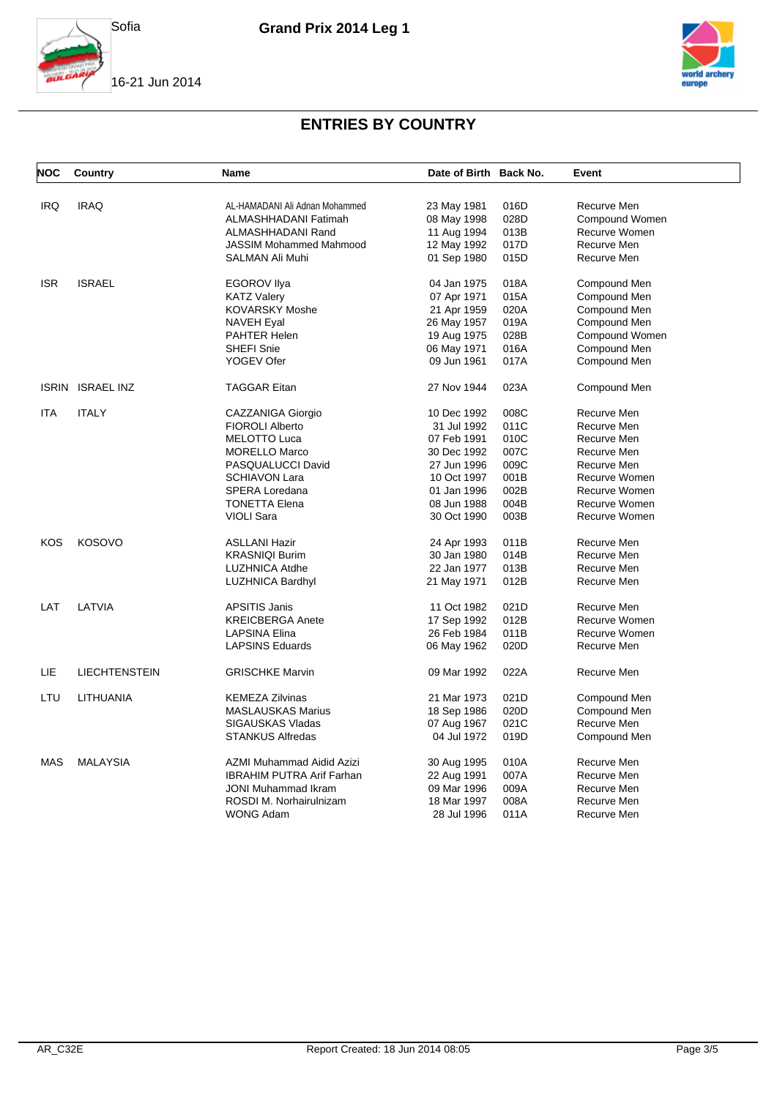





| <b>NOC</b> | Country              | <b>Name</b>                      | Date of Birth Back No.     |      | Event          |
|------------|----------------------|----------------------------------|----------------------------|------|----------------|
| <b>IRQ</b> | <b>IRAQ</b>          | AL-HAMADANI Ali Adnan Mohammed   | 23 May 1981                | 016D | Recurve Men    |
|            |                      | ALMASHHADANI Fatimah             | 08 May 1998                | 028D | Compound Women |
|            |                      | ALMASHHADANI Rand                | 11 Aug 1994                | 013B | Recurve Women  |
|            |                      | <b>JASSIM Mohammed Mahmood</b>   | 12 May 1992                | 017D | Recurve Men    |
|            |                      | SALMAN Ali Muhi                  | 01 Sep 1980                | 015D | Recurve Men    |
|            |                      |                                  |                            |      |                |
| <b>ISR</b> | <b>ISRAEL</b>        | <b>EGOROV Ilya</b>               | 04 Jan 1975                | 018A | Compound Men   |
|            |                      | <b>KATZ Valery</b>               | 07 Apr 1971                | 015A | Compound Men   |
|            |                      | <b>KOVARSKY Moshe</b>            | 21 Apr 1959                | 020A | Compound Men   |
|            |                      | NAVEH Eyal                       | 26 May 1957                | 019A | Compound Men   |
|            |                      | <b>PAHTER Helen</b>              | 19 Aug 1975                | 028B | Compound Women |
|            |                      | <b>SHEFI Snie</b>                | 06 May 1971                | 016A | Compound Men   |
|            |                      | YOGEV Ofer                       | 09 Jun 1961                | 017A | Compound Men   |
|            | ISRIN ISRAEL INZ     | <b>TAGGAR Eitan</b>              | 27 Nov 1944                | 023A | Compound Men   |
| ITA        | <b>ITALY</b>         | CAZZANIGA Giorgio                | 10 Dec 1992                | 008C | Recurve Men    |
|            |                      | <b>FIOROLI Alberto</b>           | 31 Jul 1992                | 011C | Recurve Men    |
|            |                      | <b>MELOTTO Luca</b>              | 07 Feb 1991                | 010C | Recurve Men    |
|            |                      | <b>MORELLO Marco</b>             | 30 Dec 1992                | 007C | Recurve Men    |
|            |                      | PASQUALUCCI David                | 27 Jun 1996                | 009C | Recurve Men    |
|            |                      | <b>SCHIAVON Lara</b>             | 10 Oct 1997                | 001B | Recurve Women  |
|            |                      | <b>SPERA Loredana</b>            | 01 Jan 1996                | 002B | Recurve Women  |
|            |                      | <b>TONETTA Elena</b>             | 08 Jun 1988                | 004B | Recurve Women  |
|            |                      | <b>VIOLI Sara</b>                | 30 Oct 1990                | 003B | Recurve Women  |
|            |                      |                                  |                            |      |                |
| KOS        | <b>KOSOVO</b>        | <b>ASLLANI Hazir</b>             | 24 Apr 1993                | 011B | Recurve Men    |
|            |                      | <b>KRASNIQI Burim</b>            | 30 Jan 1980                | 014B | Recurve Men    |
|            |                      | <b>LUZHNICA Atdhe</b>            | 22 Jan 1977                | 013B | Recurve Men    |
|            |                      | <b>LUZHNICA Bardhyl</b>          | 21 May 1971                | 012B | Recurve Men    |
| LAT        | LATVIA               | <b>APSITIS Janis</b>             | 11 Oct 1982                | 021D | Recurve Men    |
|            |                      | <b>KREICBERGA Anete</b>          | 17 Sep 1992                | 012B | Recurve Women  |
|            |                      | <b>LAPSINA Elina</b>             | 26 Feb 1984                | 011B | Recurve Women  |
|            |                      | <b>LAPSINS Eduards</b>           | 06 May 1962                | 020D | Recurve Men    |
| LIE        | <b>LIECHTENSTEIN</b> | <b>GRISCHKE Marvin</b>           | 09 Mar 1992                | 022A | Recurve Men    |
| LTU        | LITHUANIA            | <b>KEMEZA Zilvinas</b>           | 21 Mar 1973                | 021D | Compound Men   |
|            |                      | <b>MASLAUSKAS Marius</b>         | 18 Sep 1986                | 020D | Compound Men   |
|            |                      | SIGAUSKAS Vladas                 |                            | 021C | Recurve Men    |
|            |                      | <b>STANKUS Alfredas</b>          | 07 Aug 1967<br>04 Jul 1972 | 019D |                |
|            |                      |                                  |                            |      | Compound Men   |
| <b>MAS</b> | <b>MALAYSIA</b>      | AZMI Muhammad Aidid Azizi        | 30 Aug 1995                | 010A | Recurve Men    |
|            |                      | <b>IBRAHIM PUTRA Arif Farhan</b> | 22 Aug 1991                | 007A | Recurve Men    |
|            |                      | <b>JONI Muhammad Ikram</b>       | 09 Mar 1996                | 009A | Recurve Men    |
|            |                      | ROSDI M. Norhairulnizam          | 18 Mar 1997                | 008A | Recurve Men    |
|            |                      | <b>WONG Adam</b>                 | 28 Jul 1996                | 011A | Recurve Men    |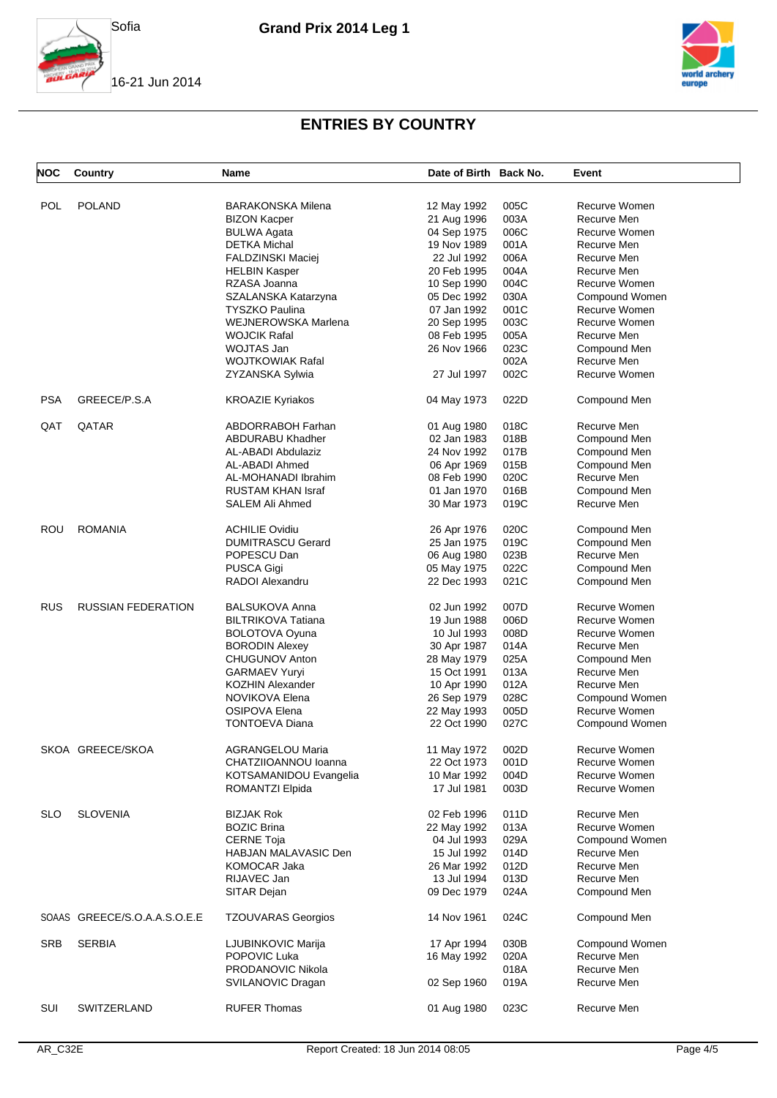





| <b>NOC</b> | Country                      | <b>Name</b>                | Date of Birth Back No. |      | Event          |
|------------|------------------------------|----------------------------|------------------------|------|----------------|
|            |                              |                            |                        |      |                |
| <b>POL</b> | <b>POLAND</b>                | <b>BARAKONSKA Milena</b>   | 12 May 1992            | 005C | Recurve Women  |
|            |                              | <b>BIZON Kacper</b>        | 21 Aug 1996            | 003A | Recurve Men    |
|            |                              | <b>BULWA Agata</b>         | 04 Sep 1975            | 006C | Recurve Women  |
|            |                              | <b>DETKA Michal</b>        | 19 Nov 1989            | 001A | Recurve Men    |
|            |                              | <b>FALDZINSKI Maciej</b>   | 22 Jul 1992            | 006A | Recurve Men    |
|            |                              | <b>HELBIN Kasper</b>       | 20 Feb 1995            | 004A | Recurve Men    |
|            |                              | RZASA Joanna               | 10 Sep 1990            | 004C | Recurve Women  |
|            |                              | SZALANSKA Katarzyna        | 05 Dec 1992            | 030A | Compound Women |
|            |                              | <b>TYSZKO Paulina</b>      | 07 Jan 1992            | 001C | Recurve Women  |
|            |                              | <b>WEJNEROWSKA Marlena</b> | 20 Sep 1995            | 003C | Recurve Women  |
|            |                              | <b>WOJCIK Rafal</b>        | 08 Feb 1995            | 005A | Recurve Men    |
|            |                              | <b>WOJTAS Jan</b>          | 26 Nov 1966            | 023C | Compound Men   |
|            |                              | <b>WOJTKOWIAK Rafal</b>    |                        | 002A | Recurve Men    |
|            |                              | ZYZANSKA Sylwia            | 27 Jul 1997            | 002C | Recurve Women  |
|            |                              |                            |                        |      |                |
| <b>PSA</b> | GREECE/P.S.A                 | <b>KROAZIE Kyriakos</b>    | 04 May 1973            | 022D | Compound Men   |
| QAT        | QATAR                        | <b>ABDORRABOH Farhan</b>   | 01 Aug 1980            | 018C | Recurve Men    |
|            |                              | <b>ABDURABU Khadher</b>    | 02 Jan 1983            | 018B | Compound Men   |
|            |                              | AL-ABADI Abdulaziz         | 24 Nov 1992            | 017B | Compound Men   |
|            |                              | AL-ABADI Ahmed             | 06 Apr 1969            | 015B | Compound Men   |
|            |                              | AL-MOHANADI Ibrahim        | 08 Feb 1990            | 020C | Recurve Men    |
|            |                              | <b>RUSTAM KHAN Israf</b>   | 01 Jan 1970            | 016B | Compound Men   |
|            |                              | SALEM Ali Ahmed            | 30 Mar 1973            | 019C | Recurve Men    |
|            |                              |                            |                        |      |                |
| ROU        | <b>ROMANIA</b>               | <b>ACHILIE Ovidiu</b>      | 26 Apr 1976            | 020C | Compound Men   |
|            |                              | <b>DUMITRASCU Gerard</b>   | 25 Jan 1975            | 019C | Compound Men   |
|            |                              | POPESCU Dan                | 06 Aug 1980            | 023B | Recurve Men    |
|            |                              | <b>PUSCA Gigi</b>          | 05 May 1975            | 022C | Compound Men   |
|            |                              | RADOI Alexandru            | 22 Dec 1993            | 021C | Compound Men   |
| <b>RUS</b> | <b>RUSSIAN FEDERATION</b>    | <b>BALSUKOVA Anna</b>      | 02 Jun 1992            | 007D | Recurve Women  |
|            |                              | <b>BILTRIKOVA Tatiana</b>  | 19 Jun 1988            | 006D | Recurve Women  |
|            |                              |                            |                        |      |                |
|            |                              | <b>BOLOTOVA Oyuna</b>      | 10 Jul 1993            | 008D | Recurve Women  |
|            |                              | <b>BORODIN Alexey</b>      | 30 Apr 1987            | 014A | Recurve Men    |
|            |                              | CHUGUNOV Anton             | 28 May 1979            | 025A | Compound Men   |
|            |                              | <b>GARMAEV Yuryi</b>       | 15 Oct 1991            | 013A | Recurve Men    |
|            |                              | <b>KOZHIN Alexander</b>    | 10 Apr 1990            | 012A | Recurve Men    |
|            |                              | NOVIKOVA Elena             | 26 Sep 1979            | 028C | Compound Women |
|            |                              | <b>OSIPOVA Elena</b>       | 22 May 1993            | 005D | Recurve Women  |
|            |                              | <b>TONTOEVA Diana</b>      | 22 Oct 1990            | 027C | Compound Women |
|            | SKOA GREECE/SKOA             | <b>AGRANGELOU Maria</b>    | 11 May 1972            | 002D | Recurve Women  |
|            |                              | CHATZIIOANNOU Ioanna       | 22 Oct 1973            | 001D | Recurve Women  |
|            |                              | KOTSAMANIDOU Evangelia     | 10 Mar 1992            | 004D | Recurve Women  |
|            |                              | <b>ROMANTZI Elpida</b>     | 17 Jul 1981            | 003D | Recurve Women  |
|            |                              |                            |                        |      |                |
| <b>SLO</b> | <b>SLOVENIA</b>              | <b>BIZJAK Rok</b>          | 02 Feb 1996            | 011D | Recurve Men    |
|            |                              | <b>BOZIC Brina</b>         | 22 May 1992            | 013A | Recurve Women  |
|            |                              | <b>CERNE Toja</b>          | 04 Jul 1993            | 029A | Compound Women |
|            |                              | HABJAN MALAVASIC Den       | 15 Jul 1992            | 014D | Recurve Men    |
|            |                              | <b>KOMOCAR Jaka</b>        | 26 Mar 1992            | 012D | Recurve Men    |
|            |                              | RIJAVEC Jan                | 13 Jul 1994            | 013D | Recurve Men    |
|            |                              | SITAR Dejan                | 09 Dec 1979            | 024A | Compound Men   |
|            | SOAAS GREECE/S.O.A.A.S.O.E.E | <b>TZOUVARAS Georgios</b>  | 14 Nov 1961            | 024C | Compound Men   |
| <b>SRB</b> | <b>SERBIA</b>                | LJUBINKOVIC Marija         |                        | 030B | Compound Women |
|            |                              | POPOVIC Luka               | 17 Apr 1994            |      | Recurve Men    |
|            |                              |                            | 16 May 1992            | 020A |                |
|            |                              | PRODANOVIC Nikola          |                        | 018A | Recurve Men    |
|            |                              | SVILANOVIC Dragan          | 02 Sep 1960            | 019A | Recurve Men    |
| SUI        | SWITZERLAND                  | <b>RUFER Thomas</b>        | 01 Aug 1980            | 023C | Recurve Men    |